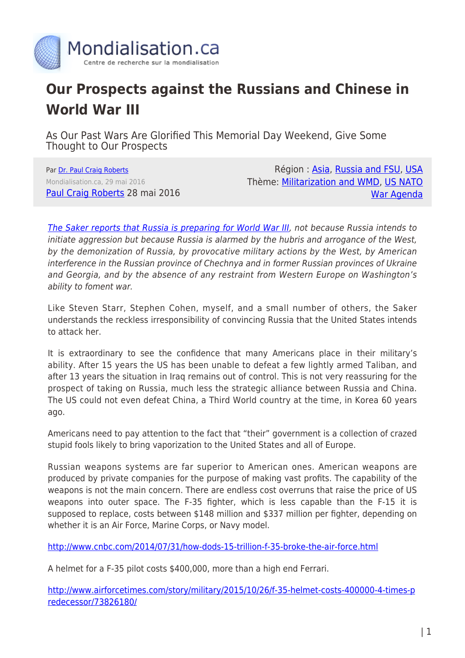

## **Our Prospects against the Russians and Chinese in World War III**

As Our Past Wars Are Glorified This Memorial Day Weekend, Give Some Thought to Our Prospects

Par [Dr. Paul Craig Roberts](https://www.mondialisation.ca/author/paul-craig-roberts) Mondialisation.ca, 29 mai 2016 [Paul Craig Roberts](http://www.paulcraigroberts.org/2016/05/28/as-our-past-wars-are-glorified-this-memorial-day-weekend-give-some-thought-to-our-prospects-against-the-russians-and-chinese-in-world-war-iii/) 28 mai 2016

Région: [Asia](https://www.mondialisation.ca/region/asia), [Russia and FSU,](https://www.mondialisation.ca/region/russia-and-fsu) [USA](https://www.mondialisation.ca/region/usa) Thème: [Militarization and WMD,](https://www.mondialisation.ca/theme/militarization-and-wmd) [US NATO](https://www.mondialisation.ca/theme/us-nato-war-agenda) [War Agenda](https://www.mondialisation.ca/theme/us-nato-war-agenda)

[The Saker reports that Russia is preparing for World War III](http://thesaker.is/how-russia-is-preparing-for-wwiii/), not because Russia intends to initiate aggression but because Russia is alarmed by the hubris and arrogance of the West, by the demonization of Russia, by provocative military actions by the West, by American interference in the Russian province of Chechnya and in former Russian provinces of Ukraine and Georgia, and by the absence of any restraint from Western Europe on Washington's ability to foment war.

Like Steven Starr, Stephen Cohen, myself, and a small number of others, the Saker understands the reckless irresponsibility of convincing Russia that the United States intends to attack her.

It is extraordinary to see the confidence that many Americans place in their military's ability. After 15 years the US has been unable to defeat a few lightly armed Taliban, and after 13 years the situation in Iraq remains out of control. This is not very reassuring for the prospect of taking on Russia, much less the strategic alliance between Russia and China. The US could not even defeat China, a Third World country at the time, in Korea 60 years ago.

Americans need to pay attention to the fact that "their" government is a collection of crazed stupid fools likely to bring vaporization to the United States and all of Europe.

Russian weapons systems are far superior to American ones. American weapons are produced by private companies for the purpose of making vast profits. The capability of the weapons is not the main concern. There are endless cost overruns that raise the price of US weapons into outer space. The F-35 fighter, which is less capable than the F-15 it is supposed to replace, costs between \$148 million and \$337 million per fighter, depending on whether it is an Air Force, Marine Corps, or Navy model.

<http://www.cnbc.com/2014/07/31/how-dods-15-trillion-f-35-broke-the-air-force.html>

A helmet for a F-35 pilot costs \$400,000, more than a high end Ferrari.

[http://www.airforcetimes.com/story/military/2015/10/26/f-35-helmet-costs-400000-4-times-p](http://www.airforcetimes.com/story/military/2015/10/26/f-35-helmet-costs-400000-4-times-predecessor/73826180/) [redecessor/73826180/](http://www.airforcetimes.com/story/military/2015/10/26/f-35-helmet-costs-400000-4-times-predecessor/73826180/)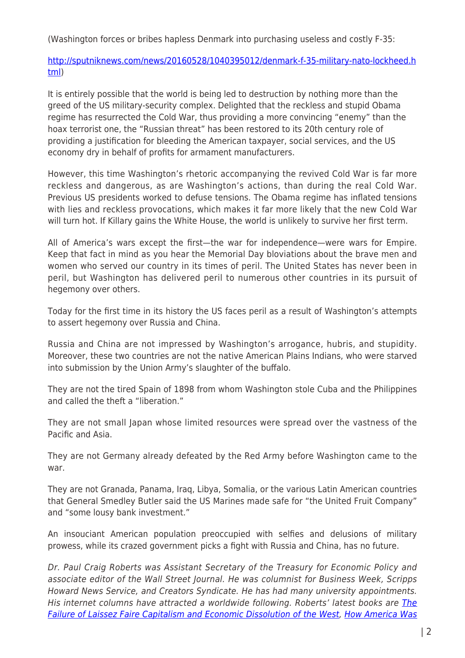(Washington forces or bribes hapless Denmark into purchasing useless and costly F-35:

[http://sputniknews.com/news/20160528/1040395012/denmark-f-35-military-nato-lockheed.h](http://sputniknews.com/news/20160528/1040395012/denmark-f-35-military-nato-lockheed.html) [tml\)](http://sputniknews.com/news/20160528/1040395012/denmark-f-35-military-nato-lockheed.html)

It is entirely possible that the world is being led to destruction by nothing more than the greed of the US military-security complex. Delighted that the reckless and stupid Obama regime has resurrected the Cold War, thus providing a more convincing "enemy" than the hoax terrorist one, the "Russian threat" has been restored to its 20th century role of providing a justification for bleeding the American taxpayer, social services, and the US economy dry in behalf of profits for armament manufacturers.

However, this time Washington's rhetoric accompanying the revived Cold War is far more reckless and dangerous, as are Washington's actions, than during the real Cold War. Previous US presidents worked to defuse tensions. The Obama regime has inflated tensions with lies and reckless provocations, which makes it far more likely that the new Cold War will turn hot. If Killary gains the White House, the world is unlikely to survive her first term.

All of America's wars except the first—the war for independence—were wars for Empire. Keep that fact in mind as you hear the Memorial Day bloviations about the brave men and women who served our country in its times of peril. The United States has never been in peril, but Washington has delivered peril to numerous other countries in its pursuit of hegemony over others.

Today for the first time in its history the US faces peril as a result of Washington's attempts to assert hegemony over Russia and China.

Russia and China are not impressed by Washington's arrogance, hubris, and stupidity. Moreover, these two countries are not the native American Plains Indians, who were starved into submission by the Union Army's slaughter of the buffalo.

They are not the tired Spain of 1898 from whom Washington stole Cuba and the Philippines and called the theft a "liberation."

They are not small Japan whose limited resources were spread over the vastness of the Pacific and Asia.

They are not Germany already defeated by the Red Army before Washington came to the war.

They are not Granada, Panama, Iraq, Libya, Somalia, or the various Latin American countries that General Smedley Butler said the US Marines made safe for "the United Fruit Company" and "some lousy bank investment."

An insouciant American population preoccupied with selfies and delusions of military prowess, while its crazed government picks a fight with Russia and China, has no future.

Dr. Paul Craig Roberts was Assistant Secretary of the Treasury for Economic Policy and associate editor of the Wall Street Journal. He was columnist for Business Week, Scripps Howard News Service, and Creators Syndicate. He has had many university appointments. His internet columns have attracted a worldwide following. Roberts' latest books are [The](http://www.paulcraigroberts.org/inbound/nbe81oi9d) [Failure of Laissez Faire Capitalism and Economic Dissolution of the West](http://www.paulcraigroberts.org/inbound/nbe81oi9d), [How America Was](http://www.paulcraigroberts.org/inbound/7o5oendn3o)